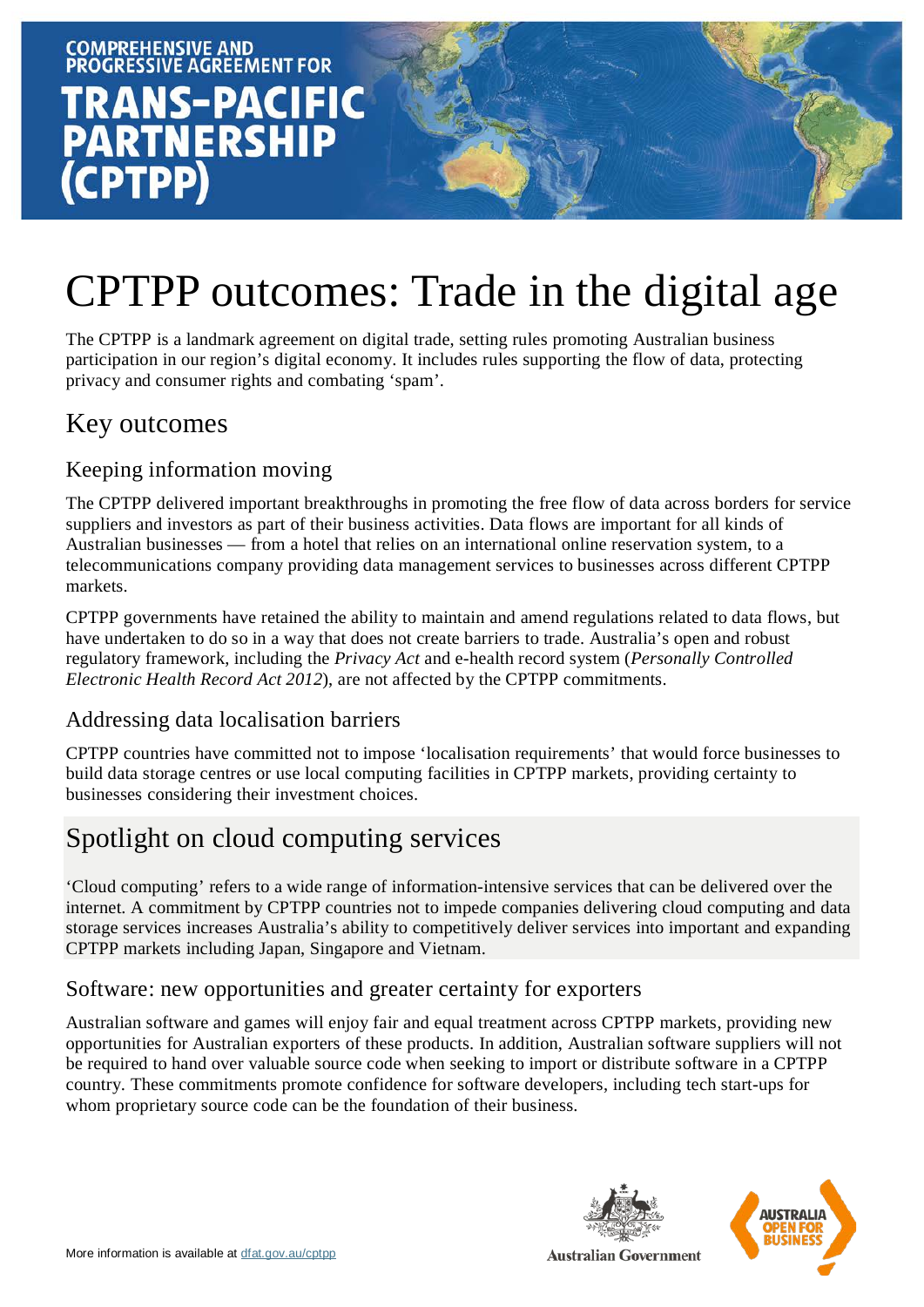



# CPTPP outcomes: Trade in the digital age

The CPTPP is a landmark agreement on digital trade, setting rules promoting Australian business participation in our region's digital economy. It includes rules supporting the flow of data, protecting privacy and consumer rights and combating 'spam'.

# Key outcomes

# Keeping information moving

The CPTPP delivered important breakthroughs in promoting the free flow of data across borders for service suppliers and investors as part of their business activities. Data flows are important for all kinds of Australian businesses — from a hotel that relies on an international online reservation system, to a telecommunications company providing data management services to businesses across different CPTPP markets.

CPTPP governments have retained the ability to maintain and amend regulations related to data flows, but have undertaken to do so in a way that does not create barriers to trade. Australia's open and robust regulatory framework, including the *Privacy Act* and e-health record system (*Personally Controlled Electronic Health Record Act 2012*), are not affected by the CPTPP commitments.

# Addressing data localisation barriers

CPTPP countries have committed not to impose 'localisation requirements' that would force businesses to build data storage centres or use local computing facilities in CPTPP markets, providing certainty to businesses considering their investment choices.

# Spotlight on cloud computing services

'Cloud computing' refers to a wide range of information-intensive services that can be delivered over the internet. A commitment by CPTPP countries not to impede companies delivering cloud computing and data storage services increases Australia's ability to competitively deliver services into important and expanding CPTPP markets including Japan, Singapore and Vietnam.

# Software: new opportunities and greater certainty for exporters

Australian software and games will enjoy fair and equal treatment across CPTPP markets, providing new opportunities for Australian exporters of these products. In addition, Australian software suppliers will not be required to hand over valuable source code when seeking to import or distribute software in a CPTPP country. These commitments promote confidence for software developers, including tech start-ups for whom proprietary source code can be the foundation of their business.